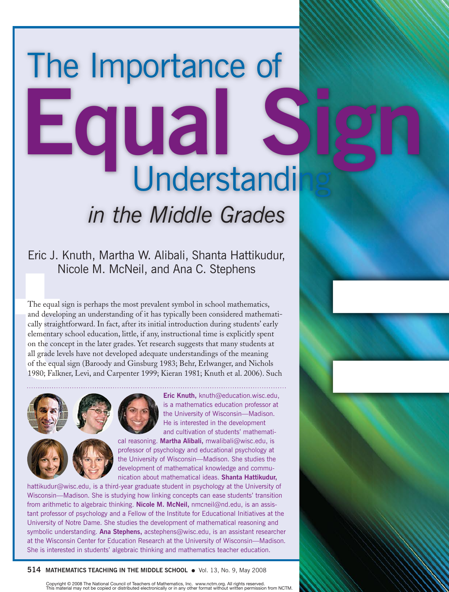# The Importance of **Equal Signal** *in the Middle Grades*

# Eric J. Knuth, Martha W. Alibali, Shanta Hattikudur, Nicole M. McNeil, and Ana C. Stephens

The equal<br>
The equal<br>
and develo<br>
cally straightering<br>
clementary<br>
on the cond<br>
all grade level<br>
of the equal<br>
1980; Falks The equal sign is perhaps the most prevalent symbol in school mathematics, and developing an understanding of it has typically been considered mathematically straightforward. In fact, after its initial introduction during students' early elementary school education, little, if any, instructional time is explicitly spent on the concept in the later grades. Yet research suggests that many students at all grade levels have not developed adequate understandings of the meaning of the equal sign (Baroody and Ginsburg 1983; Behr, Erlwanger, and Nichols 1980; Falkner, Levi, and Carpenter 1999; Kieran 1981; Knuth et al. 2006). Such





**Eric Knuth,** knuth@education.wisc.edu, is a mathematics education professor at the University of Wisconsin—Madison. He is interested in the development and cultivation of students' mathemati-

cal reasoning. **Martha Alibali,** mwalibali@wisc.edu, is professor of psychology and educational psychology at the University of Wisconsin—Madison. She studies the development of mathematical knowledge and communication about mathematical ideas. **Shanta Hattikudur,**

hattikudur@wisc.edu, is a third-year graduate student in psychology at the University of Wisconsin—Madison. She is studying how linking concepts can ease students' transition from arithmetic to algebraic thinking. **Nicole M. McNeil,** nmcneil@nd.edu, is an assistant professor of psychology and a Fellow of the Institute for Educational Initiatives at the University of Notre Dame. She studies the development of mathematical reasoning and symbolic understanding. **Ana Stephens,** acstephens@wisc.edu, is an assistant researcher at the Wisconsin Center for Education Research at the University of Wisconsin—Madison. She is interested in students' algebraic thinking and mathematics teacher education.

#### **514 Mathematics Teaching in the Middle School** ●Vol. 13, No. 9, May 2008

Copyright © 2008 The National Council of Teachers of Mathematics, Inc. www.nctm.org. All rights reserved. material may not be copied or distributed electronically or in any other format without written permission from NCTM.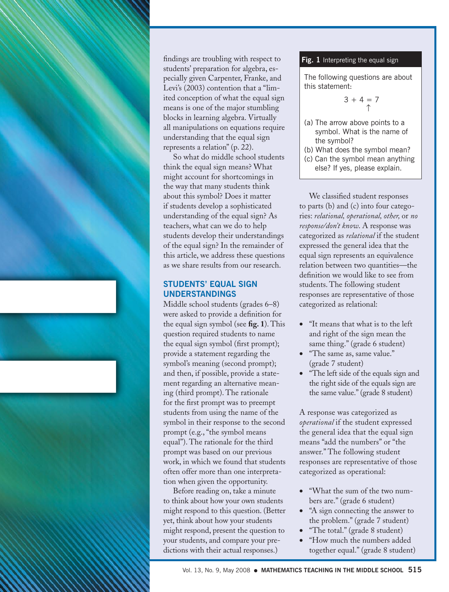

findings are troubling with respect to students' preparation for algebra, especially given Carpenter, Franke, and Levi's (2003) contention that a "limited conception of what the equal sign means is one of the major stumbling blocks in learning algebra. Virtually all manipulations on equations require understanding that the equal sign represents a relation" (p. 22).

So what do middle school students think the equal sign means? What might account for shortcomings in the way that many students think about this symbol? Does it matter if students develop a sophisticated understanding of the equal sign? As teachers, what can we do to help students develop their understandings of the equal sign? In the remainder of this article, we address these questions as we share results from our research.

# **Students' Equal Sign Understandings**

Middle school students (grades 6–8) were asked to provide a definition for the equal sign symbol (see **fig. 1**). This question required students to name the equal sign symbol (first prompt); provide a statement regarding the symbol's meaning (second prompt); and then, if possible, provide a statement regarding an alternative meaning (third prompt). The rationale for the first prompt was to preempt students from using the name of the symbol in their response to the second prompt (e.g., "the symbol means equal"). The rationale for the third prompt was based on our previous work, in which we found that students often offer more than one interpretation when given the opportunity.

Before reading on, take a minute to think about how your own students might respond to this question. (Better yet, think about how your students might respond, present the question to your students, and compare your predictions with their actual responses.)

### Fig. 1 Interpreting the equal sign

The following questions are about this statement:

$$
3 + 4 = 7
$$
  

$$
\uparrow
$$

(a) The arrow above points to a symbol. What is the name of the symbol?

(b) What does the symbol mean?

(c) Can the symbol mean anything else? If yes, please explain.

We classified student responses to parts (b) and (c) into four categories: *relational, operational, other,* or *no response/don't know*. A response was categorized as *relational* if the student expressed the general idea that the equal sign represents an equivalence relation between two quantities—the definition we would like to see from students. The following student responses are representative of those categorized as relational:

- "It means that what is to the left and right of the sign mean the same thing." (grade 6 student)
- "The same as, same value." (grade 7 student)
- "The left side of the equals sign and the right side of the equals sign are the same value." (grade 8 student)

A response was categorized as *operational* if the student expressed the general idea that the equal sign means "add the numbers" or "the answer." The following student responses are representative of those categorized as operational:

- "What the sum of the two numbers are." (grade 6 student)
- "A sign connecting the answer to the problem." (grade 7 student)
- "The total." (grade 8 student)
- "How much the numbers added together equal." (grade 8 student)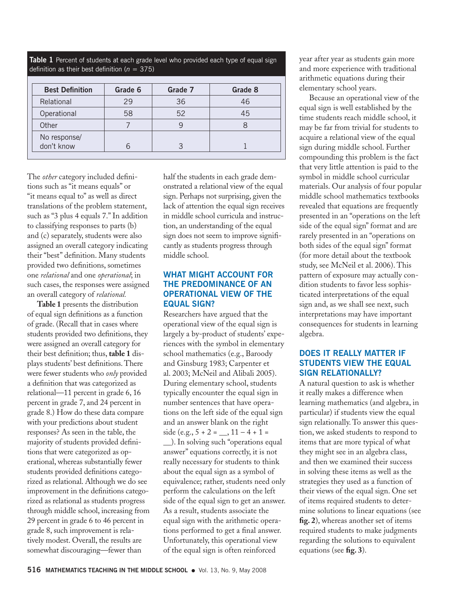|  | Table 1 Percent of students at each grade level who provided each type of equal sign |  |  |  |  |  |
|--|--------------------------------------------------------------------------------------|--|--|--|--|--|
|  | definition as their best definition ( $n = 375$ )                                    |  |  |  |  |  |

| <b>Best Definition</b>     | Grade 6 | Grade 7 | Grade 8 |  |
|----------------------------|---------|---------|---------|--|
| Relational                 | 29      | 36      | 46      |  |
| Operational                | 58      | 52      | 45      |  |
| Other                      |         |         |         |  |
| No response/<br>don't know |         |         |         |  |

The *other* category included definitions such as "it means equals" or "it means equal to" as well as direct translations of the problem statement, such as "3 plus 4 equals 7." In addition to classifying responses to parts (b) and (c) separately, students were also assigned an overall category indicating their "best" definition. Many students provided two definitions, sometimes one *relational* and one *operational*; in such cases, the responses were assigned an overall category of *relational.*

**Table 1** presents the distribution of equal sign definitions as a function of grade. (Recall that in cases where students provided two definitions, they were assigned an overall category for their best definition; thus, **table 1** displays students' best definitions. There were fewer students who *only* provided a definition that was categorized as relational—11 percent in grade 6, 16 percent in grade 7, and 24 percent in grade 8.) How do these data compare with your predictions about student responses? As seen in the table, the majority of students provided definitions that were categorized as operational, whereas substantially fewer students provided definitions categorized as relational. Although we do see improvement in the definitions categorized as relational as students progress through middle school, increasing from 29 percent in grade 6 to 46 percent in grade 8, such improvement is relatively modest. Overall, the results are somewhat discouraging—fewer than

half the students in each grade demonstrated a relational view of the equal sign. Perhaps not surprising, given the lack of attention the equal sign receives in middle school curricula and instruction, an understanding of the equal sign does not seem to improve significantly as students progress through middle school.

# **What Might Account for the Predominance of an Operational View of the Equal Sign?**

Researchers have argued that the operational view of the equal sign is largely a by-product of students' experiences with the symbol in elementary school mathematics (e.g., Baroody and Ginsburg 1983; Carpenter et al. 2003; McNeil and Alibali 2005). During elementary school, students typically encounter the equal sign in number sentences that have operations on the left side of the equal sign and an answer blank on the right side (e.g.,  $5 + 2 = 11 - 4 + 1 =$ \_\_). In solving such "operations equal

answer" equations correctly, it is not really necessary for students to think about the equal sign as a symbol of equivalence; rather, students need only perform the calculations on the left side of the equal sign to get an answer. As a result, students associate the equal sign with the arithmetic operations performed to get a final answer. Unfortunately, this operational view of the equal sign is often reinforced

year after year as students gain more and more experience with traditional arithmetic equations during their elementary school years.

Because an operational view of the equal sign is well established by the time students reach middle school, it may be far from trivial for students to acquire a relational view of the equal sign during middle school. Further compounding this problem is the fact that very little attention is paid to the symbol in middle school curricular materials. Our analysis of four popular middle school mathematics textbooks revealed that equations are frequently presented in an "operations on the left side of the equal sign" format and are rarely presented in an "operations on both sides of the equal sign" format (for more detail about the textbook study, see McNeil et al. 2006). This pattern of exposure may actually condition students to favor less sophisticated interpretations of the equal sign and, as we shall see next, such interpretations may have important consequences for students in learning algebra.

### **Does it Really Matter if Students View the Equal Sign Relationally?**

A natural question to ask is whether it really makes a difference when learning mathematics (and algebra, in particular) if students view the equal sign relationally. To answer this question, we asked students to respond to items that are more typical of what they might see in an algebra class, and then we examined their success in solving these items as well as the strategies they used as a function of their views of the equal sign. One set of items required students to determine solutions to linear equations (see **fig. 2**), whereas another set of items required students to make judgments regarding the solutions to equivalent equations (see **fig. 3**).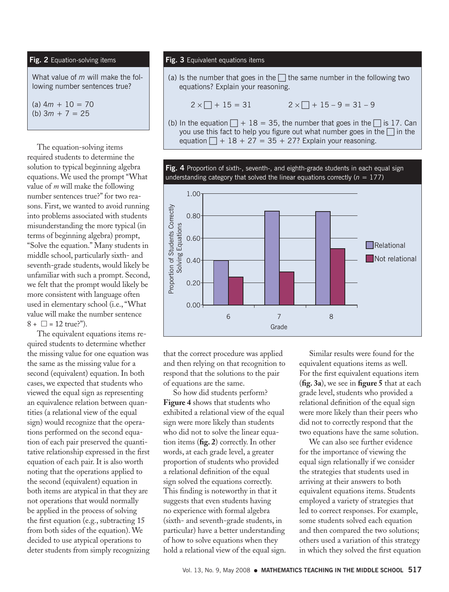#### **Fig. 2** Equation-solving items

What value of *m* will make the following number sentences true?

 $(a)$  4*m* + 10 = 70 (b) 3*m* + 7 = 25

The equation-solving items required students to determine the solution to typical beginning algebra equations. We used the prompt "What value of *m* will make the following number sentences true?" for two reasons. First, we wanted to avoid running into problems associated with students misunderstanding the more typical (in terms of beginning algebra) prompt, "Solve the equation." Many students in middle school, particularly sixth- and seventh-grade students, would likely be unfamiliar with such a prompt. Second, we felt that the prompt would likely be more consistent with language often used in elementary school (i.e., "What value will make the number sentence  $8 + \Box = 12$  true?").

The equivalent equations items required students to determine whether the missing value for one equation was the same as the missing value for a second (equivalent) equation. In both cases, we expected that students who viewed the equal sign as representing an equivalence relation between quantities (a relational view of the equal sign) would recognize that the operations performed on the second equation of each pair preserved the quantitative relationship expressed in the first equation of each pair. It is also worth noting that the operations applied to the second (equivalent) equation in both items are atypical in that they are not operations that would normally be applied in the process of solving the first equation (e.g., subtracting 15 from both sides of the equation). We decided to use atypical operations to deter students from simply recognizing

#### **Fig. 3** Equivalent equations items

(a) Is the number that goes in the  $\Box$  the same number in the following two equations? Explain your reasoning.

 $2 \times \Box + 15 = 31$   $2 \times \Box + 15 - 9 = 31 - 9$ 

(b) In the equation  $\Box$  + 18 = 35, the number that goes in the  $\Box$  is 17. Can you use this fact to help you figure out what number goes in the  $\Box$  in the equation  $\Box$  + 18 + 27 = 35 + 27? Explain your reasoning.

**Fig. 4** Proportion of sixth-, seventh-, and eighth-grade students in each equal sign



that the correct procedure was applied and then relying on that recognition to respond that the solutions to the pair of equations are the same.

So how did students perform? Figure 4 shows that students who exhibited a relational view of the equal sign were more likely than students who did not to solve the linear equa- $\frac{1}{2}$  tion items (**fig. 2**) correctly. In other words, at each grade level, a greater proportion of students who provided a relational definition of the equal sign solved the equations correctly. This finding is noteworthy in that it suggests that even students having 6 7 8 no experience with formal algebra (sixth- and seventh-grade students, in particular) have a better understanding of how to solve equations when they hold a relational view of the equal sign. **ig**<br>ch<br>or or<br>or<br>rop bi<br>
W<br>
d<br>
it<br>
ds

Similar results were found for the equivalent equations items as well. For the first equivalent equations item (**fig. 3a**), we see in **figure 5** that at each grade level, students who provided a relational definition of the equal sign were more likely than their peers who did not to correctly respond that the two equations have the same solution.

We can also see further evidence for the importance of viewing the equal sign relationally if we consider the strategies that students used in arriving at their answers to both equivalent equations items. Students employed a variety of strategies that led to correct responses. For example, some students solved each equation and then compared the two solutions; others used a variation of this strategy in which they solved the first equation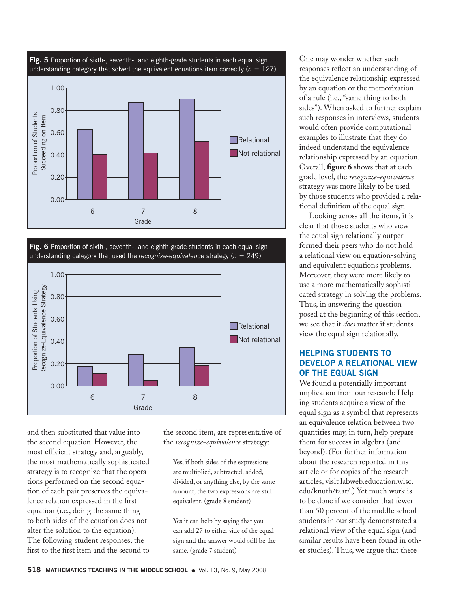

**Fig. 6** Proportion of sixth-, seventh-, and eighth-grade students in each equal sign understanding category that used the *recognize-equivalence* strategy (*n* = 249)



and then substituted that value into the second equation. However, the most efficient strategy and, arguably, the most mathematically sophisticated strategy is to recognize that the operations performed on the second equation of each pair preserves the equivalence relation expressed in the first equation (i.e., doing the same thing to both sides of the equation does not alter the solution to the equation). The following student responses, the first to the first item and the second to

the second item, are representative of the *recognize-equivalence* strategy:

Yes, if both sides of the expressions are multiplied, subtracted, added, divided, or anything else, by the same amount, the two expressions are still equivalent. (grade 8 student)

Yes it can help by saying that you can add 27 to either side of the equal sign and the answer would still be the same. (grade 7 student)

One may wonder whether such responses reflect an understanding of the equivalence relationship expressed by an equation or the memorization of a rule (i.e., "same thing to both sides"). When asked to further explain such responses in interviews, students would often provide computational examples to illustrate that they do indeed understand the equivalence relationship expressed by an equation. Overall, **figure 6** shows that at each grade level, the *recognize-equivalence* strategy was more likely to be used by those students who provided a relational definition of the equal sign.

Looking across all the items, it is clear that those students who view the equal sign relationally outperformed their peers who do not hold a relational view on equation-solving and equivalent equations problems. Moreover, they were more likely to use a more mathematically sophisticated strategy in solving the problems. Thus, in answering the question posed at the beginning of this section, we see that it *does* matter if students view the equal sign relationally.

# **Helping Students to Develop a Relational View of the Equal Sign**

We found a potentially important implication from our research: Helping students acquire a view of the equal sign as a symbol that represents an equivalence relation between two quantities may, in turn, help prepare them for success in algebra (and beyond). (For further information about the research reported in this article or for copies of the research articles, visit labweb.education.wisc. edu/knuth/taar/.) Yet much work is to be done if we consider that fewer than 50 percent of the middle school students in our study demonstrated a relational view of the equal sign (and similar results have been found in other studies). Thus, we argue that there